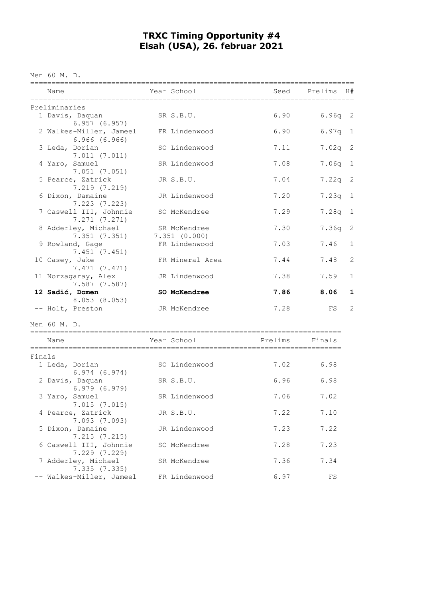## **TRXC Timing Opportunity #4 Elsah (USA), 26. februar 2021**

Men 60 M. D.

|        | Name                                    | Year School                  | Seed    | Prelims | H#          |
|--------|-----------------------------------------|------------------------------|---------|---------|-------------|
|        | Preliminaries                           |                              |         |         |             |
|        | 1 Davis, Daquan<br>6.957(6.957)         | SR S.B.U.                    | 6.90    | 6.96q   | 2           |
|        | 2 Walkes-Miller, Jameel<br>6.966(6.966) | FR Lindenwood                | 6.90    | 6.97q   | 1           |
|        | 3 Leda, Dorian<br>7.011(7.011)          | SO Lindenwood                | 7.11    | 7.02q   | 2           |
|        | 4 Yaro, Samuel<br>7.051(7.051)          | SR Lindenwood                | 7.08    | 7.06q   | 1           |
|        | 5 Pearce, Zatrick<br>7.219(7.219)       | JR S.B.U.                    | 7.04    | 7.22q   | 2           |
|        | 6 Dixon, Damaine<br>7.223(7.223)        | JR Lindenwood                | 7.20    | 7.23q   | 1           |
|        | 7 Caswell III, Johnnie<br>7.271(7.271)  | SO McKendree                 | 7.29    | 7.28q   | 1           |
|        | 8 Adderley, Michael<br>7.351(7.351)     | SR McKendree<br>7.351(0.000) | 7.30    | 7.36q   | 2           |
|        | 9 Rowland, Gage<br>7.451(7.451)         | FR Lindenwood                | 7.03    | 7.46    | 1           |
|        | 10 Casey, Jake<br>7.471(7.471)          | FR Mineral Area              | 7.44    | 7.48    | 2           |
|        | 11 Norzagaray, Alex<br>7.587(7.587)     | JR Lindenwood                | 7.38    | 7.59    | $\mathbf 1$ |
|        | 12 Sadić, Domen                         | SO McKendree                 | 7.86    | 8.06    | 1           |
|        | 8.053(8.053)<br>-- Holt, Preston        | JR McKendree                 | 7.28    | FS      | 2           |
|        | Men 60 M. D.                            |                              |         |         |             |
|        | Name                                    | Year School                  | Prelims | Finals  |             |
| Finals |                                         |                              |         |         |             |
|        | 1 Leda, Dorian<br>6.974(6.974)          | SO Lindenwood                | 7.02    | 6.98    |             |
|        | 2 Davis, Daquan<br>6.979(6.979)         | SR S.B.U.                    | 6.96    | 6.98    |             |
|        | 3 Yaro, Samuel<br>7.015(7.015)          | SR Lindenwood                | 7.06    | 7.02    |             |
|        | 4 Pearce, Zatrick<br>7.093(7.093)       | JR S.B.U.                    | 7.22    | 7.10    |             |
|        | 5 Dixon, Damaine<br>7.215(7.215)        | JR Lindenwood                | 7.23    | 7.22    |             |
|        | 6 Caswell III, Johnnie<br>7.229(7.229)  | SO McKendree                 | 7.28    | 7.23    |             |
|        | 7 Adderley, Michael<br>7.335(7.335)     | SR McKendree                 | 7.36    | 7.34    |             |
|        | -- Walkes-Miller, Jameel                | FR Lindenwood                | 6.97    | FS      |             |